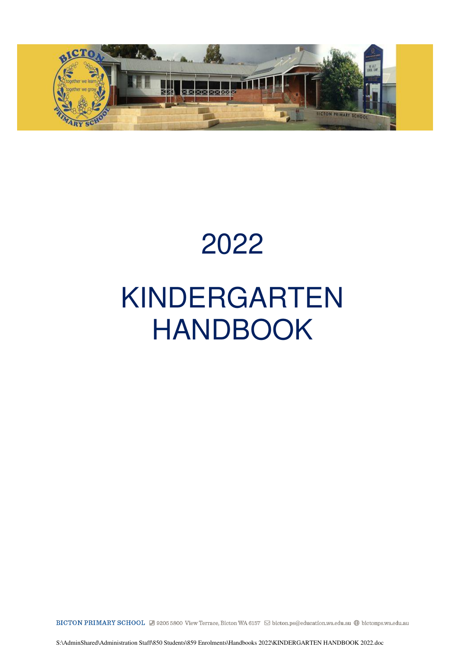

## 2022

# KINDERGARTEN HANDBOOK

BICTON PRIMARY SCHOOL 2 9205 5800 View Terrace, Bicton WA 6157 ⊠ bicton.ps@education.wa.edu.au @ bictonps.wa.edu.au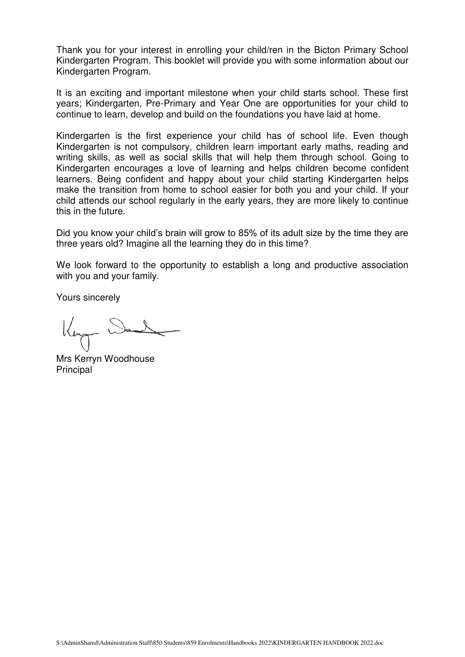Thank you for your interest in enrolling your child/ren in the Bicton Primary School Kindergarten Program. This booklet will provide you with some information about our Kindergarten Program.

It is an exciting and important milestone when your child starts school. These first years; Kindergarten, Pre-Primary and Year One are opportunities for your child to continue to learn, develop and build on the foundations you have laid at home.

Kindergarten is the first experience your child has of school life. Even though Kindergarten is not compulsory, children learn important early maths, reading and writing skills, as well as social skills that will help them through school. Going to Kindergarten encourages a love of learning and helps children become confident learners. Being confident and happy about your child starting Kindergarten helps make the transition from home to school easier for both you and your child. If your child attends our school regularly in the early years, they are more likely to continue this in the future.

Did you know your child's brain will grow to 85% of its adult size by the time they are three years old? Imagine all the learning they do in this time?

We look forward to the opportunity to establish a long and productive association with you and your family.

Yours sincerely

Mrs Kerryn Woodhouse Principal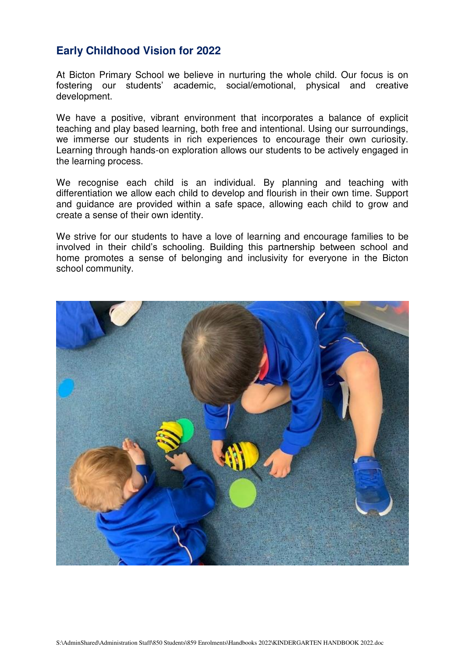### **Early Childhood Vision for 2022**

At Bicton Primary School we believe in nurturing the whole child. Our focus is on fostering our students' academic, social/emotional, physical and creative development.

We have a positive, vibrant environment that incorporates a balance of explicit teaching and play based learning, both free and intentional. Using our surroundings, we immerse our students in rich experiences to encourage their own curiosity. Learning through hands-on exploration allows our students to be actively engaged in the learning process.

We recognise each child is an individual. By planning and teaching with differentiation we allow each child to develop and flourish in their own time. Support and guidance are provided within a safe space, allowing each child to grow and create a sense of their own identity.

We strive for our students to have a love of learning and encourage families to be involved in their child's schooling. Building this partnership between school and home promotes a sense of belonging and inclusivity for everyone in the Bicton school community.

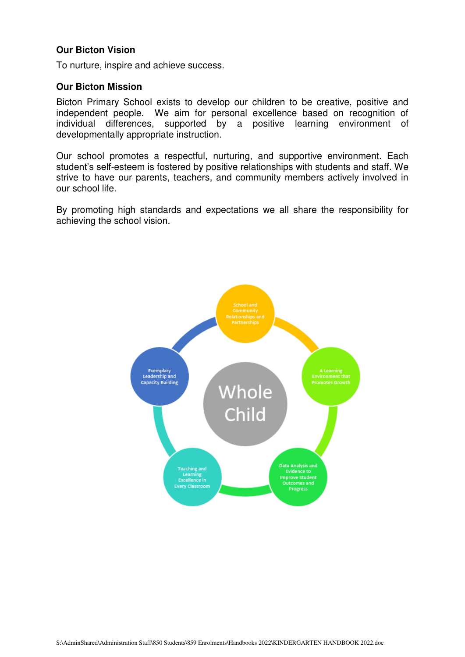#### **Our Bicton Vision**

To nurture, inspire and achieve success.

#### **Our Bicton Mission**

Bicton Primary School exists to develop our children to be creative, positive and independent people. We aim for personal excellence based on recognition of individual differences, supported by a positive learning environment of developmentally appropriate instruction.

Our school promotes a respectful, nurturing, and supportive environment. Each student's self-esteem is fostered by positive relationships with students and staff. We strive to have our parents, teachers, and community members actively involved in our school life.

By promoting high standards and expectations we all share the responsibility for achieving the school vision.

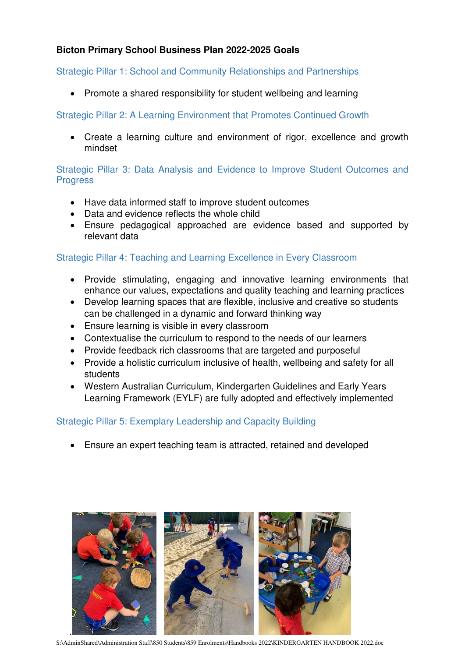#### **Bicton Primary School Business Plan 2022-2025 Goals**

#### Strategic Pillar 1: School and Community Relationships and Partnerships

• Promote a shared responsibility for student wellbeing and learning

#### Strategic Pillar 2: A Learning Environment that Promotes Continued Growth

 Create a learning culture and environment of rigor, excellence and growth mindset

#### Strategic Pillar 3: Data Analysis and Evidence to Improve Student Outcomes and **Progress**

- Have data informed staff to improve student outcomes
- Data and evidence reflects the whole child
- Ensure pedagogical approached are evidence based and supported by relevant data

#### Strategic Pillar 4: Teaching and Learning Excellence in Every Classroom

- Provide stimulating, engaging and innovative learning environments that enhance our values, expectations and quality teaching and learning practices
- Develop learning spaces that are flexible, inclusive and creative so students can be challenged in a dynamic and forward thinking way
- Ensure learning is visible in every classroom
- Contextualise the curriculum to respond to the needs of our learners
- Provide feedback rich classrooms that are targeted and purposeful
- Provide a holistic curriculum inclusive of health, wellbeing and safety for all students
- Western Australian Curriculum, Kindergarten Guidelines and Early Years Learning Framework (EYLF) are fully adopted and effectively implemented

#### Strategic Pillar 5: Exemplary Leadership and Capacity Building

Ensure an expert teaching team is attracted, retained and developed



S:\AdminShared\Administration Staff\850 Students\859 Enrolments\Handbooks 2022\KINDERGARTEN HANDBOOK 2022.doc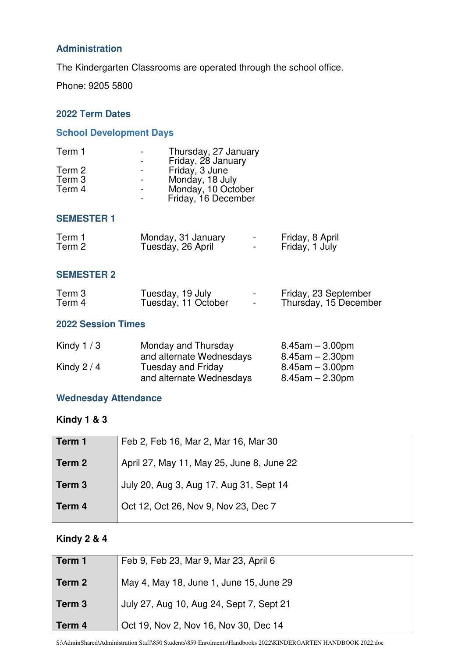#### **Administration**

The Kindergarten Classrooms are operated through the school office.

Phone: 9205 5800

#### **2022 Term Dates**

#### **School Development Days**

| Thursday, 27 January |
|----------------------|
| Friday, 28 January   |
| Friday, 3 June       |
| Monday, 18 July      |
| Monday, 10 October   |
| Friday, 16 December  |
|                      |

#### **SEMESTER 1**

| Term 1 | Monday, 31 January | $\overline{\phantom{0}}$ | Friday, 8 April |
|--------|--------------------|--------------------------|-----------------|
| Term 2 | Tuesday, 26 April  | $\,$                     | Friday, 1 July  |

#### **SEMESTER 2**

| Term 3 | Tuesday, 19 July    |                          | Friday, 23 September  |
|--------|---------------------|--------------------------|-----------------------|
| Term 4 | Tuesday, 11 October | $\overline{\phantom{0}}$ | Thursday, 15 December |

#### **2022 Session Times**

| Monday and Thursday      | $8.45$ am $-3.00$ pm  |
|--------------------------|-----------------------|
| and alternate Wednesdays | $8.45$ am $- 2.30$ pm |
| Tuesday and Friday       | $8.45$ am $-3.00$ pm  |
| and alternate Wednesdays | $8.45$ am $- 2.30$ pm |
|                          |                       |

#### **Wednesday Attendance**

#### **Kindy 1 & 3**

| Term 1            | Feb 2, Feb 16, Mar 2, Mar 16, Mar 30      |
|-------------------|-------------------------------------------|
| Term 2            | April 27, May 11, May 25, June 8, June 22 |
| Term <sub>3</sub> | July 20, Aug 3, Aug 17, Aug 31, Sept 14   |
| Term 4            | Oct 12, Oct 26, Nov 9, Nov 23, Dec 7      |

#### **Kindy 2 & 4**

| Term 1            | Feb 9, Feb 23, Mar 9, Mar 23, April 6    |
|-------------------|------------------------------------------|
| Term 2            | May 4, May 18, June 1, June 15, June 29  |
| Term <sub>3</sub> | July 27, Aug 10, Aug 24, Sept 7, Sept 21 |
| Term 4            | Oct 19, Nov 2, Nov 16, Nov 30, Dec 14    |

S:\AdminShared\Administration Staff\850 Students\859 Enrolments\Handbooks 2022\KINDERGARTEN HANDBOOK 2022.doc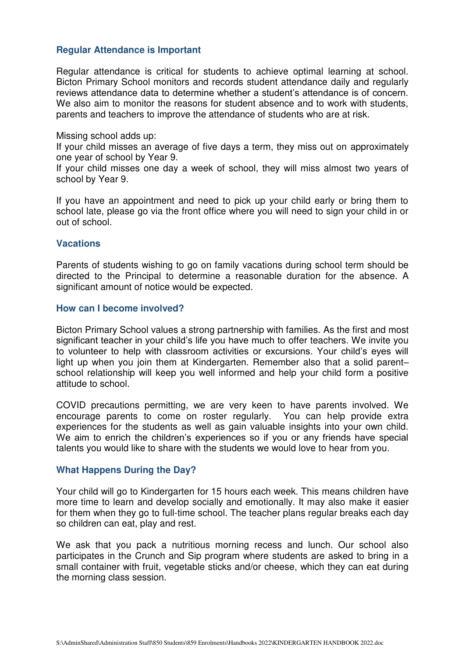#### **Regular Attendance is Important**

Regular attendance is critical for students to achieve optimal learning at school. Bicton Primary School monitors and records student attendance daily and regularly reviews attendance data to determine whether a student's attendance is of concern. We also aim to monitor the reasons for student absence and to work with students, parents and teachers to improve the attendance of students who are at risk.

#### Missing school adds up:

If your child misses an average of five days a term, they miss out on approximately one year of school by Year 9.

If your child misses one day a week of school, they will miss almost two years of school by Year 9.

If you have an appointment and need to pick up your child early or bring them to school late, please go via the front office where you will need to sign your child in or out of school.

#### **Vacations**

Parents of students wishing to go on family vacations during school term should be directed to the Principal to determine a reasonable duration for the absence. A significant amount of notice would be expected.

#### **How can I become involved?**

Bicton Primary School values a strong partnership with families. As the first and most significant teacher in your child's life you have much to offer teachers. We invite you to volunteer to help with classroom activities or excursions. Your child's eyes will light up when you join them at Kindergarten. Remember also that a solid parent– school relationship will keep you well informed and help your child form a positive attitude to school.

COVID precautions permitting, we are very keen to have parents involved. We encourage parents to come on roster regularly. You can help provide extra experiences for the students as well as gain valuable insights into your own child. We aim to enrich the children's experiences so if you or any friends have special talents you would like to share with the students we would love to hear from you.

#### **What Happens During the Day?**

Your child will go to Kindergarten for 15 hours each week. This means children have more time to learn and develop socially and emotionally. It may also make it easier for them when they go to full-time school. The teacher plans regular breaks each day so children can eat, play and rest.

We ask that you pack a nutritious morning recess and lunch. Our school also participates in the Crunch and Sip program where students are asked to bring in a small container with fruit, vegetable sticks and/or cheese, which they can eat during the morning class session.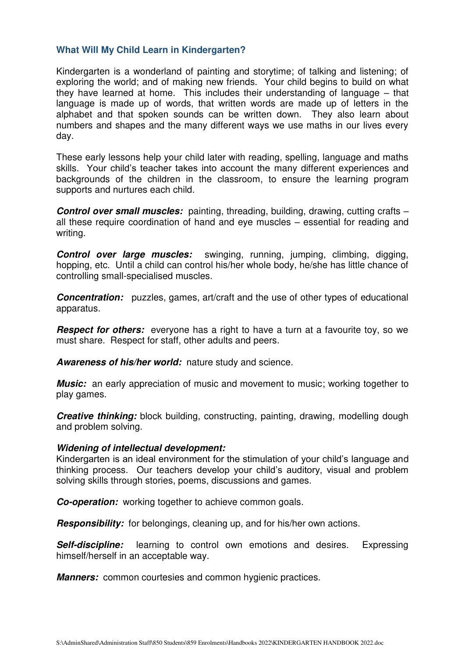#### **What Will My Child Learn in Kindergarten?**

Kindergarten is a wonderland of painting and storytime; of talking and listening; of exploring the world; and of making new friends. Your child begins to build on what they have learned at home. This includes their understanding of language – that language is made up of words, that written words are made up of letters in the alphabet and that spoken sounds can be written down. They also learn about numbers and shapes and the many different ways we use maths in our lives every day.

These early lessons help your child later with reading, spelling, language and maths skills. Your child's teacher takes into account the many different experiences and backgrounds of the children in the classroom, to ensure the learning program supports and nurtures each child.

**Control over small muscles:** painting, threading, building, drawing, cutting crafts – all these require coordination of hand and eye muscles – essential for reading and writing.

**Control over large muscles:** swinging, running, jumping, climbing, digging, hopping, etc. Until a child can control his/her whole body, he/she has little chance of controlling small-specialised muscles.

**Concentration:** puzzles, games, art/craft and the use of other types of educational apparatus.

**Respect for others:** everyone has a right to have a turn at a favourite toy, so we must share. Respect for staff, other adults and peers.

**Awareness of his/her world:** nature study and science.

**Music:** an early appreciation of music and movement to music; working together to play games.

**Creative thinking:** block building, constructing, painting, drawing, modelling dough and problem solving.

#### **Widening of intellectual development:**

Kindergarten is an ideal environment for the stimulation of your child's language and thinking process. Our teachers develop your child's auditory, visual and problem solving skills through stories, poems, discussions and games.

**Co-operation:** working together to achieve common goals.

**Responsibility:** for belongings, cleaning up, and for his/her own actions.

**Self-discipline:** learning to control own emotions and desires. Expressing himself/herself in an acceptable way.

*Manners:* common courtesies and common hygienic practices.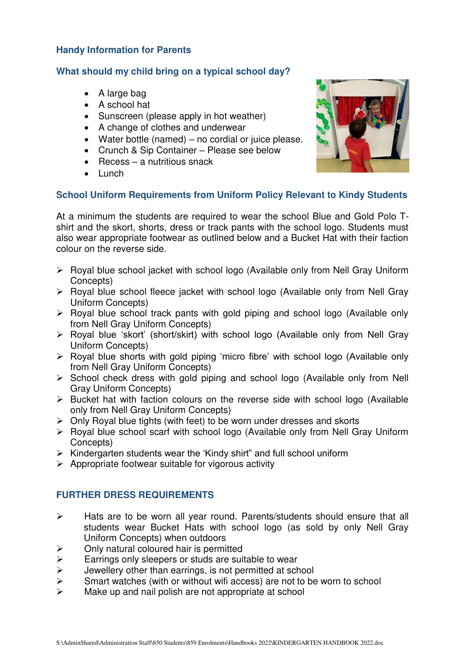#### **Handy Information for Parents**

#### **What should my child bring on a typical school day?**

- A large bag
- A school hat
- Sunscreen (please apply in hot weather)
- A change of clothes and underwear
- Water bottle (named) no cordial or juice please.
- Crunch & Sip Container Please see below
- $\bullet$  Recess a nutritious snack
- Lunch

#### **School Uniform Requirements from Uniform Policy Relevant to Kindy Students**

At a minimum the students are required to wear the school Blue and Gold Polo Tshirt and the skort, shorts, dress or track pants with the school logo. Students must also wear appropriate footwear as outlined below and a Bucket Hat with their faction colour on the reverse side.

- $\triangleright$  Royal blue school jacket with school logo (Available only from Nell Gray Uniform Concepts)
- $\triangleright$  Royal blue school fleece jacket with school logo (Available only from Nell Gray Uniform Concepts)
- $\triangleright$  Royal blue school track pants with gold piping and school logo (Available only from Nell Gray Uniform Concepts)
- Royal blue 'skort' (short/skirt) with school logo (Available only from Nell Gray Uniform Concepts)
- $\triangleright$  Royal blue shorts with gold piping 'micro fibre' with school logo (Available only from Nell Gray Uniform Concepts)
- $\triangleright$  School check dress with gold piping and school logo (Available only from Nell Gray Uniform Concepts)
- $\triangleright$  Bucket hat with faction colours on the reverse side with school logo (Available only from Nell Gray Uniform Concepts)
- $\triangleright$  Only Royal blue tights (with feet) to be worn under dresses and skorts
- $\triangleright$  Royal blue school scarf with school logo (Available only from Nell Gray Uniform Concepts)
- $\triangleright$  Kindergarten students wear the 'Kindy shirt" and full school uniform
- $\triangleright$  Appropriate footwear suitable for vigorous activity

#### **FURTHER DRESS REQUIREMENTS**

- $\triangleright$  Hats are to be worn all year round. Parents/students should ensure that all students wear Bucket Hats with school logo (as sold by only Nell Gray Uniform Concepts) when outdoors
- $\triangleright$  Only natural coloured hair is permitted
- Earrings only sleepers or studs are suitable to wear<br>  $\triangleright$  Uewellery other than earrings, is not permitted at sch
- Jewellery other than earrings, is not permitted at school
- $\triangleright$  Smart watches (with or without wifi access) are not to be worn to school
- $\triangleright$  Make up and nail polish are not appropriate at school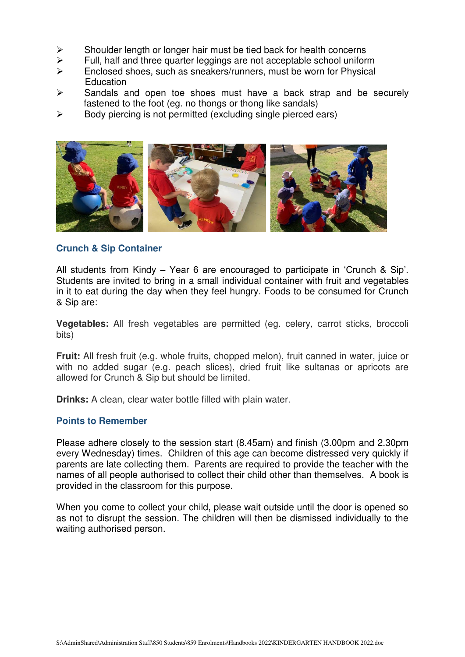- $\triangleright$  Shoulder length or longer hair must be tied back for health concerns
- $\ge$  Full, half and three quarter leggings are not acceptable school uniform  $\ge$  Foclosed shoes such as sneakers/runners must be worn for Physical
- Enclosed shoes, such as sneakers/runners, must be worn for Physical Education
- $\triangleright$  Sandals and open toe shoes must have a back strap and be securely fastened to the foot (eg. no thongs or thong like sandals)
- $\triangleright$  Body piercing is not permitted (excluding single pierced ears)



#### **Crunch & Sip Container**

All students from Kindy – Year 6 are encouraged to participate in 'Crunch & Sip'. Students are invited to bring in a small individual container with fruit and vegetables in it to eat during the day when they feel hungry. Foods to be consumed for Crunch & Sip are:

**Vegetables:** All fresh vegetables are permitted (eg. celery, carrot sticks, broccoli bits)

**Fruit:** All fresh fruit (e.g. whole fruits, chopped melon), fruit canned in water, juice or with no added sugar (e.g. peach slices), dried fruit like sultanas or apricots are allowed for Crunch & Sip but should be limited.

**Drinks:** A clean, clear water bottle filled with plain water.

#### **Points to Remember**

Please adhere closely to the session start (8.45am) and finish (3.00pm and 2.30pm every Wednesday) times. Children of this age can become distressed very quickly if parents are late collecting them. Parents are required to provide the teacher with the names of all people authorised to collect their child other than themselves. A book is provided in the classroom for this purpose.

When you come to collect your child, please wait outside until the door is opened so as not to disrupt the session. The children will then be dismissed individually to the waiting authorised person.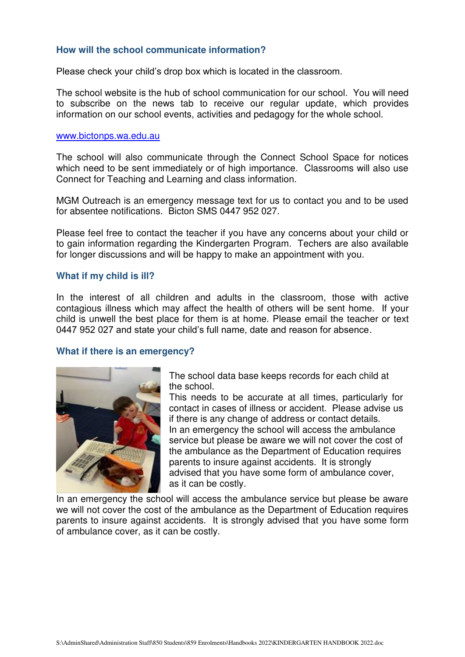#### **How will the school communicate information?**

Please check your child's drop box which is located in the classroom.

The school website is the hub of school communication for our school. You will need to subscribe on the news tab to receive our regular update, which provides information on our school events, activities and pedagogy for the whole school.

#### [www.bictonps.wa.edu.au](http://www.bictonps.wa.edu.au/)

The school will also communicate through the Connect School Space for notices which need to be sent immediately or of high importance. Classrooms will also use Connect for Teaching and Learning and class information.

MGM Outreach is an emergency message text for us to contact you and to be used for absentee notifications. Bicton SMS 0447 952 027.

Please feel free to contact the teacher if you have any concerns about your child or to gain information regarding the Kindergarten Program. Techers are also available for longer discussions and will be happy to make an appointment with you.

#### **What if my child is ill?**

In the interest of all children and adults in the classroom, those with active contagious illness which may affect the health of others will be sent home. If your child is unwell the best place for them is at home. Please email the teacher or text 0447 952 027 and state your child's full name, date and reason for absence.

#### **What if there is an emergency?**



The school data base keeps records for each child at the school.

This needs to be accurate at all times, particularly for contact in cases of illness or accident. Please advise us if there is any change of address or contact details. In an emergency the school will access the ambulance service but please be aware we will not cover the cost of the ambulance as the Department of Education requires parents to insure against accidents. It is strongly advised that you have some form of ambulance cover, as it can be costly.

In an emergency the school will access the ambulance service but please be aware we will not cover the cost of the ambulance as the Department of Education requires parents to insure against accidents. It is strongly advised that you have some form of ambulance cover, as it can be costly.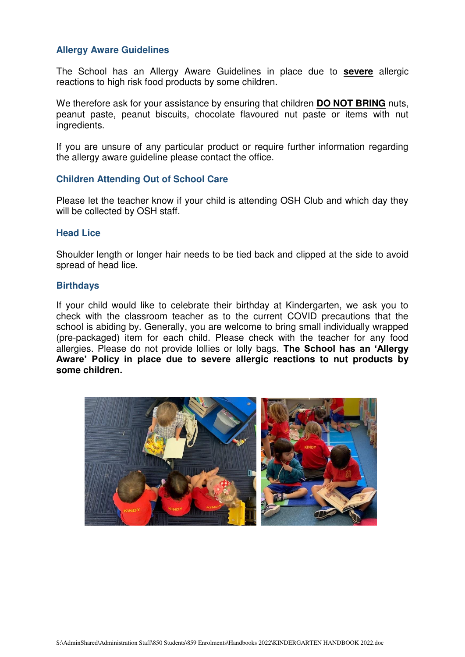#### **Allergy Aware Guidelines**

The School has an Allergy Aware Guidelines in place due to **severe** allergic reactions to high risk food products by some children.

We therefore ask for your assistance by ensuring that children **DO NOT BRING** nuts, peanut paste, peanut biscuits, chocolate flavoured nut paste or items with nut ingredients.

If you are unsure of any particular product or require further information regarding the allergy aware guideline please contact the office.

#### **Children Attending Out of School Care**

Please let the teacher know if your child is attending OSH Club and which day they will be collected by OSH staff.

#### **Head Lice**

Shoulder length or longer hair needs to be tied back and clipped at the side to avoid spread of head lice.

#### **Birthdays**

If your child would like to celebrate their birthday at Kindergarten, we ask you to check with the classroom teacher as to the current COVID precautions that the school is abiding by. Generally, you are welcome to bring small individually wrapped (pre-packaged) item for each child. Please check with the teacher for any food allergies. Please do not provide lollies or lolly bags. **The School has an 'Allergy Aware' Policy in place due to severe allergic reactions to nut products by some children.**

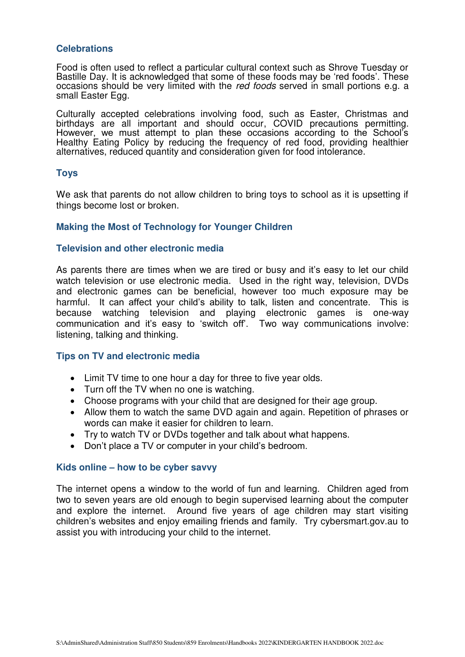#### **Celebrations**

Food is often used to reflect a particular cultural context such as Shrove Tuesday or Bastille Day. It is acknowledged that some of these foods may be 'red foods'. These occasions should be very limited with the *red foods* served in small portions e.g. a small Easter Egg.

Culturally accepted celebrations involving food, such as Easter, Christmas and birthdays are all important and should occur, COVID precautions permitting. However, we must attempt to plan these occasions according to the School's Healthy Eating Policy by reducing the frequency of red food, providing healthier alternatives, reduced quantity and consideration given for food intolerance.

#### **Toys**

We ask that parents do not allow children to bring toys to school as it is upsetting if things become lost or broken.

#### **Making the Most of Technology for Younger Children**

#### **Television and other electronic media**

As parents there are times when we are tired or busy and it's easy to let our child watch television or use electronic media. Used in the right way, television, DVDs and electronic games can be beneficial, however too much exposure may be harmful. It can affect your child's ability to talk, listen and concentrate. This is because watching television and playing electronic games is one-way communication and it's easy to 'switch off'. Two way communications involve: listening, talking and thinking.

#### **Tips on TV and electronic media**

- Limit TV time to one hour a day for three to five year olds.
- Turn off the TV when no one is watching.
- Choose programs with your child that are designed for their age group.
- Allow them to watch the same DVD again and again. Repetition of phrases or words can make it easier for children to learn.
- Try to watch TV or DVDs together and talk about what happens.
- Don't place a TV or computer in your child's bedroom.

#### **Kids online – how to be cyber savvy**

The internet opens a window to the world of fun and learning. Children aged from two to seven years are old enough to begin supervised learning about the computer and explore the internet. Around five years of age children may start visiting children's websites and enjoy emailing friends and family. Try cybersmart.gov.au to assist you with introducing your child to the internet.